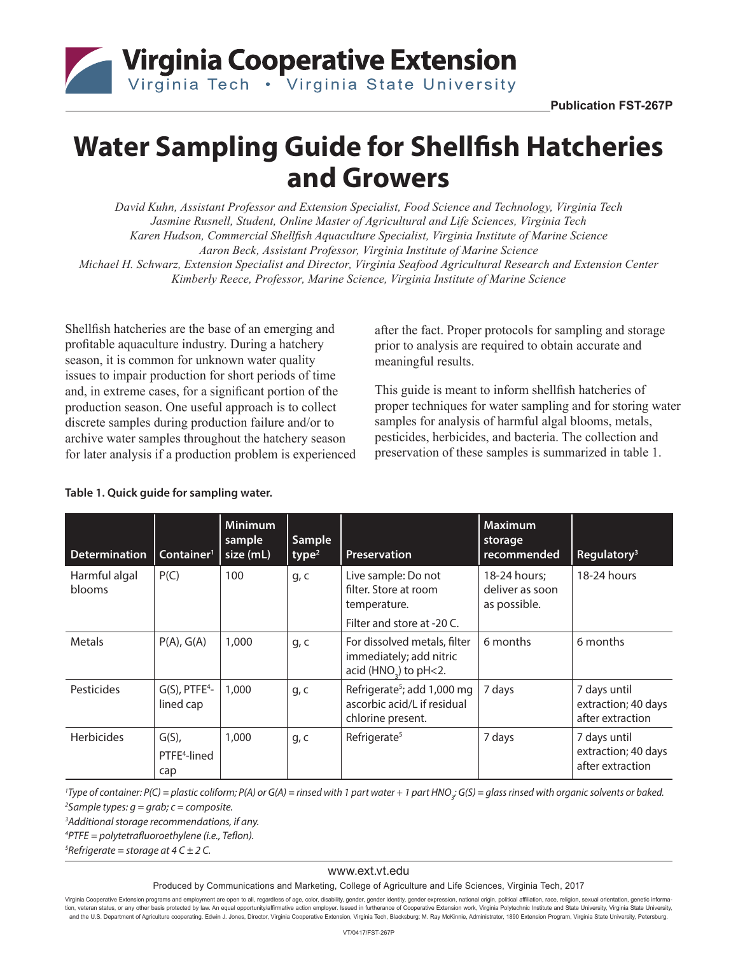

# **Water Sampling Guide for Shellfish Hatcheries and Growers**

*David Kuhn, Assistant Professor and Extension Specialist, Food Science and Technology, Virginia Tech Jasmine Rusnell, Student, Online Master of Agricultural and Life Sciences, Virginia Tech Karen Hudson, Commercial Shellfish Aquaculture Specialist, Virginia Institute of Marine Science Aaron Beck, Assistant Professor, Virginia Institute of Marine Science Michael H. Schwarz, Extension Specialist and Director, Virginia Seafood Agricultural Research and Extension Center Kimberly Reece, Professor, Marine Science, Virginia Institute of Marine Science*

Shellfish hatcheries are the base of an emerging and profitable aquaculture industry. During a hatchery season, it is common for unknown water quality issues to impair production for short periods of time and, in extreme cases, for a significant portion of the production season. One useful approach is to collect discrete samples during production failure and/or to archive water samples throughout the hatchery season for later analysis if a production problem is experienced

after the fact. Proper protocols for sampling and storage prior to analysis are required to obtain accurate and meaningful results.

This guide is meant to inform shellfish hatcheries of proper techniques for water sampling and for storing water samples for analysis of harmful algal blooms, metals, pesticides, herbicides, and bacteria. The collection and preservation of these samples is summarized in table 1.

| <b>Determination</b>    | Container <sup>1</sup>                      | <b>Minimum</b><br>sample<br>size (mL) | Sample<br>type <sup>2</sup> | <b>Preservation</b>                                                                          | <b>Maximum</b><br>storage<br>recommended        | Regulatory <sup>3</sup>                                 |
|-------------------------|---------------------------------------------|---------------------------------------|-----------------------------|----------------------------------------------------------------------------------------------|-------------------------------------------------|---------------------------------------------------------|
| Harmful algal<br>blooms | P(C)                                        | 100                                   | g, c                        | Live sample: Do not<br>filter. Store at room<br>temperature.<br>Filter and store at -20 C.   | 18-24 hours:<br>deliver as soon<br>as possible. | 18-24 hours                                             |
| Metals                  | P(A), G(A)                                  | 1,000                                 | q, c                        | For dissolved metals, filter<br>immediately; add nitric<br>acid (HNO <sub>2</sub> ) to pH<2. | 6 months                                        | 6 months                                                |
| <b>Pesticides</b>       | $G(S)$ , PTFE <sup>4</sup> -<br>lined cap   | 1,000                                 | q, c                        | Refrigerate <sup>5</sup> ; add 1,000 mg<br>ascorbic acid/L if residual<br>chlorine present.  | 7 days                                          | 7 days until<br>extraction; 40 days<br>after extraction |
| <b>Herbicides</b>       | $G(S)$ ,<br>PTFE <sup>4</sup> -lined<br>cap | 1,000                                 | g, c                        | Refrigerate <sup>5</sup>                                                                     | 7 days                                          | 7 days until<br>extraction; 40 days<br>after extraction |

#### **Table 1. Quick guide for sampling water.**

*<sup>1</sup>Type of container: P(C) = plastic coliform; P(A) or G(A) = rinsed with 1 part water + 1 part HNO<sub>3</sub>; G(S) = glass rinsed with organic solvents or baked. 2 Sample types: g = grab; c = composite.*

*3 Additional storage recommendations, if any.*

*4 PTFE = polytetrafluoroethylene (i.e., Teflon).*

*5 Refrigerate = storage at 4 C ± 2 C.*

#### www.ext.vt.edu

Produced by Communications and Marketing, College of Agriculture and Life Sciences, Virginia Tech, 2017

Virginia Cooperative Extension programs and employment are open to all, regardless of age, color, disability, gender, gender identity, gender expression, national origin, political affiliation, race, religion, sexual orien tion, veteran status, or any other basis protected by law. An equal opportunity/affirmative action employer. Issued in furtherance of Cooperative Extension work, Virginia Polytechnic Institute and State University, Virgini and the U.S. Department of Agriculture cooperating. Edwin J. Jones, Director, Virginia Cooperative Extension, Virginia Tech, Blacksburg, M. Ray McKinnie, Administrator, 1890 Extension Program, Virginia State University, Pe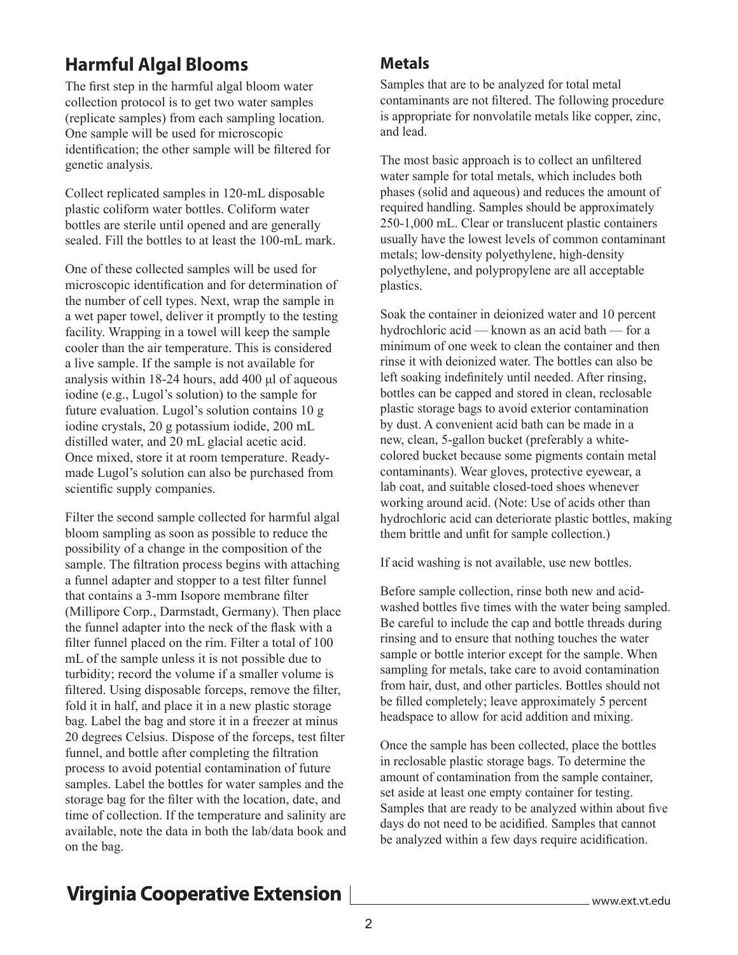## **Harmful Algal Blooms**

The first step in the harmful algal bloom water collection protocol is to get two water samples (replicate samples) from each sampling location. One sample will be used for microscopic identification; the other sample will be filtered for genetic analysis.

Collect replicated samples in 120-mL disposable plastic coliform water bottles. Coliform water bottles are sterile until opened and are generally sealed. Fill the bottles to at least the 100-mL mark.

One of these collected samples will be used for microscopic identification and for determination of the number of cell types. Next, wrap the sample in a wet paper towel, deliver it promptly to the testing facility. Wrapping in a towel will keep the sample cooler than the air temperature. This is considered a live sample. If the sample is not available for analysis within 18-24 hours, add 400 μl of aqueous iodine (e.g., Lugol's solution) to the sample for future evaluation. Lugol's solution contains 10 g iodine crystals, 20 g potassium iodide, 200 mL distilled water, and 20 mL glacial acetic acid. Once mixed, store it at room temperature. Readymade Lugol's solution can also be purchased from scientific supply companies.

Filter the second sample collected for harmful algal bloom sampling as soon as possible to reduce the possibility of a change in the composition of the sample. The filtration process begins with attaching a funnel adapter and stopper to a test filter funnel that contains a 3-mm Isopore membrane filter (Millipore Corp., Darmstadt, Germany). Then place the funnel adapter into the neck of the flask with a filter funnel placed on the rim. Filter a total of 100 mL of the sample unless it is not possible due to turbidity; record the volume if a smaller volume is filtered. Using disposable forceps, remove the filter, fold it in half, and place it in a new plastic storage bag. Label the bag and store it in a freezer at minus 20 degrees Celsius. Dispose of the forceps, test filter funnel, and bottle after completing the filtration process to avoid potential contamination of future samples. Label the bottles for water samples and the storage bag for the filter with the location, date, and time of collection. If the temperature and salinity are available, note the data in both the lab/data book and on the bag.

#### **Metals**

Samples that are to be analyzed for total metal contaminants are not filtered. The following procedure is appropriate for nonvolatile metals like copper, zinc, and lead.

The most basic approach is to collect an unfiltered water sample for total metals, which includes both phases (solid and aqueous) and reduces the amount of required handling. Samples should be approximately 250-1,000 mL. Clear or translucent plastic containers usually have the lowest levels of common contaminant metals; low-density polyethylene, high-density polyethylene, and polypropylene are all acceptable plastics.

Soak the container in deionized water and 10 percent hydrochloric acid — known as an acid bath — for a minimum of one week to clean the container and then rinse it with deionized water. The bottles can also be left soaking indefinitely until needed. After rinsing, bottles can be capped and stored in clean, reclosable plastic storage bags to avoid exterior contamination by dust. A convenient acid bath can be made in a new, clean, 5-gallon bucket (preferably a whitecolored bucket because some pigments contain metal contaminants). Wear gloves, protective eyewear, a lab coat, and suitable closed-toed shoes whenever working around acid. (Note: Use of acids other than hydrochloric acid can deteriorate plastic bottles, making them brittle and unfit for sample collection.)

If acid washing is not available, use new bottles.

Before sample collection, rinse both new and acidwashed bottles five times with the water being sampled. Be careful to include the cap and bottle threads during rinsing and to ensure that nothing touches the water sample or bottle interior except for the sample. When sampling for metals, take care to avoid contamination from hair, dust, and other particles. Bottles should not be filled completely; leave approximately 5 percent headspace to allow for acid addition and mixing.

Once the sample has been collected, place the bottles in reclosable plastic storage bags. To determine the amount of contamination from the sample container, set aside at least one empty container for testing. Samples that are ready to be analyzed within about five days do not need to be acidified. Samples that cannot be analyzed within a few days require acidification.

# **Virginia Cooperative Extension**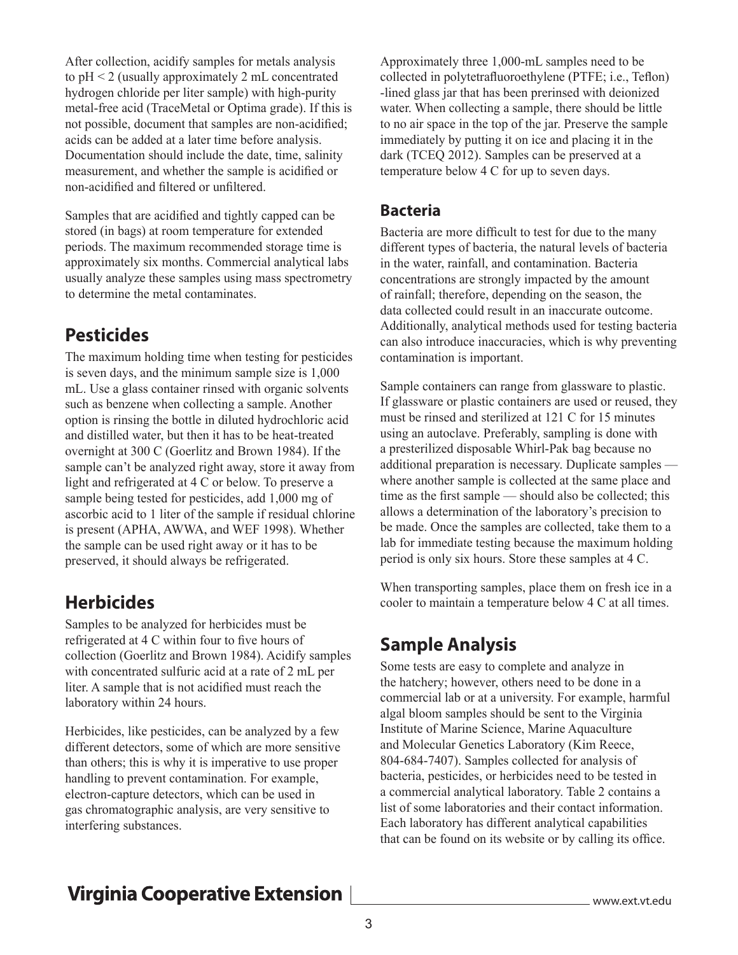After collection, acidify samples for metals analysis to pH < 2 (usually approximately 2 mL concentrated hydrogen chloride per liter sample) with high-purity metal-free acid (TraceMetal or Optima grade). If this is not possible, document that samples are non-acidified; acids can be added at a later time before analysis. Documentation should include the date, time, salinity measurement, and whether the sample is acidified or non-acidified and filtered or unfiltered.

Samples that are acidified and tightly capped can be stored (in bags) at room temperature for extended periods. The maximum recommended storage time is approximately six months. Commercial analytical labs usually analyze these samples using mass spectrometry to determine the metal contaminates.

### **Pesticides**

The maximum holding time when testing for pesticides is seven days, and the minimum sample size is 1,000 mL. Use a glass container rinsed with organic solvents such as benzene when collecting a sample. Another option is rinsing the bottle in diluted hydrochloric acid and distilled water, but then it has to be heat-treated overnight at 300 C (Goerlitz and Brown 1984). If the sample can't be analyzed right away, store it away from light and refrigerated at 4 C or below. To preserve a sample being tested for pesticides, add 1,000 mg of ascorbic acid to 1 liter of the sample if residual chlorine is present (APHA, AWWA, and WEF 1998). Whether the sample can be used right away or it has to be preserved, it should always be refrigerated.

### **Herbicides**

Samples to be analyzed for herbicides must be refrigerated at 4 C within four to five hours of collection (Goerlitz and Brown 1984). Acidify samples with concentrated sulfuric acid at a rate of 2 mL per liter. A sample that is not acidified must reach the laboratory within 24 hours.

Herbicides, like pesticides, can be analyzed by a few different detectors, some of which are more sensitive than others; this is why it is imperative to use proper handling to prevent contamination. For example, electron-capture detectors, which can be used in gas chromatographic analysis, are very sensitive to interfering substances.

Approximately three 1,000-mL samples need to be collected in polytetrafluoroethylene (PTFE; i.e., Teflon) -lined glass jar that has been prerinsed with deionized water. When collecting a sample, there should be little to no air space in the top of the jar. Preserve the sample immediately by putting it on ice and placing it in the dark (TCEQ 2012). Samples can be preserved at a temperature below 4 C for up to seven days.

#### **Bacteria**

Bacteria are more difficult to test for due to the many different types of bacteria, the natural levels of bacteria in the water, rainfall, and contamination. Bacteria concentrations are strongly impacted by the amount of rainfall; therefore, depending on the season, the data collected could result in an inaccurate outcome. Additionally, analytical methods used for testing bacteria can also introduce inaccuracies, which is why preventing contamination is important.

Sample containers can range from glassware to plastic. If glassware or plastic containers are used or reused, they must be rinsed and sterilized at 121 C for 15 minutes using an autoclave. Preferably, sampling is done with a presterilized disposable Whirl-Pak bag because no additional preparation is necessary. Duplicate samples where another sample is collected at the same place and time as the first sample — should also be collected; this allows a determination of the laboratory's precision to be made. Once the samples are collected, take them to a lab for immediate testing because the maximum holding period is only six hours. Store these samples at 4 C.

When transporting samples, place them on fresh ice in a cooler to maintain a temperature below 4 C at all times.

### **Sample Analysis**

Some tests are easy to complete and analyze in the hatchery; however, others need to be done in a commercial lab or at a university. For example, harmful algal bloom samples should be sent to the Virginia Institute of Marine Science, Marine Aquaculture and Molecular Genetics Laboratory (Kim Reece, 804-684-7407). Samples collected for analysis of bacteria, pesticides, or herbicides need to be tested in a commercial analytical laboratory. Table 2 contains a list of some laboratories and their contact information. Each laboratory has different analytical capabilities that can be found on its website or by calling its office.

# **Virginia Cooperative Extension**